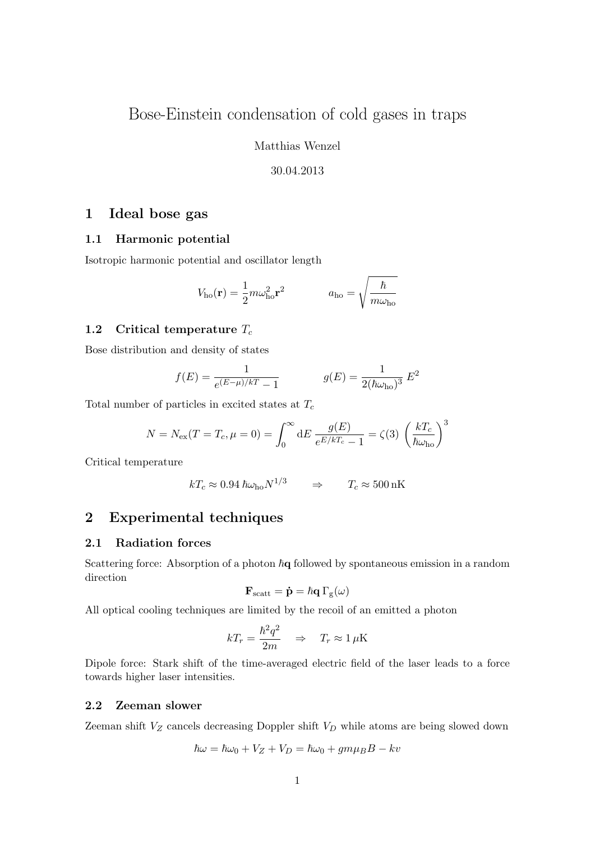# Bose-Einstein condensation of cold gases in traps

Matthias Wenzel

#### 30.04.2013

# 1 Ideal bose gas

#### 1.1 Harmonic potential

Isotropic harmonic potential and oscillator length

$$
V_{\text{ho}}(\mathbf{r}) = \frac{1}{2} m \omega_{\text{ho}}^2 \mathbf{r}^2 \qquad a_{\text{ho}} = \sqrt{\frac{\hbar}{m \omega_{\text{ho}}}}
$$

#### 1.2 Critical temperature  $T_c$

Bose distribution and density of states

$$
f(E) = \frac{1}{e^{(E-\mu)/kT} - 1} \qquad \qquad g(E) = \frac{1}{2(\hbar\omega_{\text{ho}})^3} E^2
$$

Total number of particles in excited states at  $T_c$ 

$$
N = N_{\rm ex}(T = T_c, \mu = 0) = \int_0^\infty dE \, \frac{g(E)}{e^{E/kT_c} - 1} = \zeta(3) \, \left(\frac{kT_c}{\hbar \omega_{\rm ho}}\right)^3
$$

Critical temperature

$$
kT_c \approx 0.94 \hbar \omega_{\text{ho}} N^{1/3} \qquad \Rightarrow \qquad T_c \approx 500 \,\text{nK}
$$

## 2 Experimental techniques

### 2.1 Radiation forces

Scattering force: Absorption of a photon  $h\mathbf{q}$  followed by spontaneous emission in a random direction

$$
\mathbf{F}_{scatt} = \mathbf{\dot{p}} = \hbar \mathbf{q} \, \Gamma_{g}(\omega)
$$

All optical cooling techniques are limited by the recoil of an emitted a photon

$$
kT_r = \frac{\hbar^2 q^2}{2m} \quad \Rightarrow \quad T_r \approx 1 \,\mu\text{K}
$$

Dipole force: Stark shift of the time-averaged electric field of the laser leads to a force towards higher laser intensities.

### 2.2 Zeeman slower

Zeeman shift  $V_Z$  cancels decreasing Doppler shift  $V_D$  while atoms are being slowed down

$$
\hbar\omega = \hbar\omega_0 + V_Z + V_D = \hbar\omega_0 + gm\mu_B - kv
$$